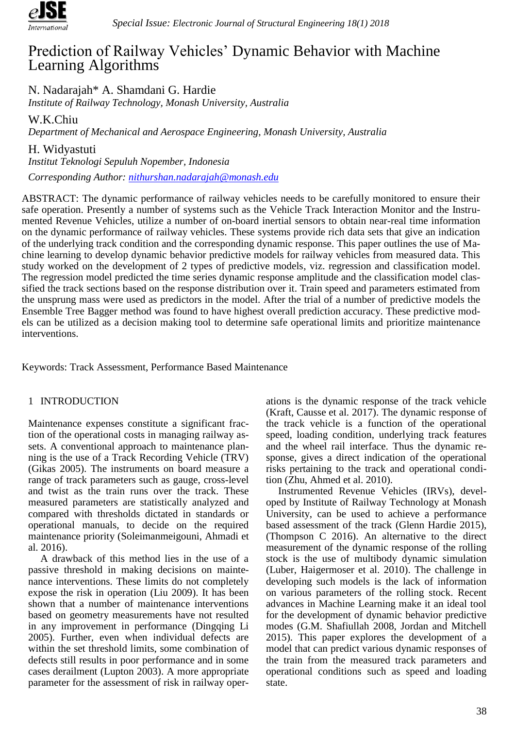

# Prediction of Railway Vehicles' Dynamic Behavior with Machine Learning Algorithms

N. Nadarajah\* A. Shamdani G. Hardie

*Institute of Railway Technology, Monash University, Australia*

W.K.Chiu

*Department of Mechanical and Aerospace Engineering, Monash University, Australia*

H. Widyastuti

*Institut Teknologi Sepuluh Nopember, Indonesia*

*Corresponding Author: [nithurshan.nadarajah@monash.edu](mailto:nithurshan.nadarajah@monash.edu)*

ABSTRACT: The dynamic performance of railway vehicles needs to be carefully monitored to ensure their safe operation. Presently a number of systems such as the Vehicle Track Interaction Monitor and the Instrumented Revenue Vehicles, utilize a number of on-board inertial sensors to obtain near-real time information on the dynamic performance of railway vehicles. These systems provide rich data sets that give an indication of the underlying track condition and the corresponding dynamic response. This paper outlines the use of Machine learning to develop dynamic behavior predictive models for railway vehicles from measured data. This study worked on the development of 2 types of predictive models, viz. regression and classification model. The regression model predicted the time series dynamic response amplitude and the classification model classified the track sections based on the response distribution over it. Train speed and parameters estimated from the unsprung mass were used as predictors in the model. After the trial of a number of predictive models the Ensemble Tree Bagger method was found to have highest overall prediction accuracy. These predictive models can be utilized as a decision making tool to determine safe operational limits and prioritize maintenance interventions.

Keywords: Track Assessment, Performance Based Maintenance

## 1 INTRODUCTION

Maintenance expenses constitute a significant fraction of the operational costs in managing railway assets. A conventional approach to maintenance planning is the use of a Track Recording Vehicle (TRV) (Gikas 2005). The instruments on board measure a range of track parameters such as gauge, cross-level and twist as the train runs over the track. These measured parameters are statistically analyzed and compared with thresholds dictated in standards or operational manuals, to decide on the required maintenance priority (Soleimanmeigouni, Ahmadi et al. 2016).

A drawback of this method lies in the use of a passive threshold in making decisions on maintenance interventions. These limits do not completely expose the risk in operation (Liu 2009). It has been shown that a number of maintenance interventions based on geometry measurements have not resulted in any improvement in performance (Dingqing Li 2005). Further, even when individual defects are within the set threshold limits, some combination of defects still results in poor performance and in some cases derailment (Lupton 2003). A more appropriate parameter for the assessment of risk in railway operations is the dynamic response of the track vehicle (Kraft, Causse et al. 2017). The dynamic response of the track vehicle is a function of the operational speed, loading condition, underlying track features and the wheel rail interface. Thus the dynamic response, gives a direct indication of the operational risks pertaining to the track and operational condition (Zhu, Ahmed et al. 2010).

Instrumented Revenue Vehicles (IRVs), developed by Institute of Railway Technology at Monash University, can be used to achieve a performance based assessment of the track (Glenn Hardie 2015), (Thompson C 2016). An alternative to the direct measurement of the dynamic response of the rolling stock is the use of multibody dynamic simulation (Luber, Haigermoser et al. 2010). The challenge in developing such models is the lack of information on various parameters of the rolling stock. Recent advances in Machine Learning make it an ideal tool for the development of dynamic behavior predictive modes (G.M. Shafiullah 2008, Jordan and Mitchell 2015). This paper explores the development of a model that can predict various dynamic responses of the train from the measured track parameters and operational conditions such as speed and loading state.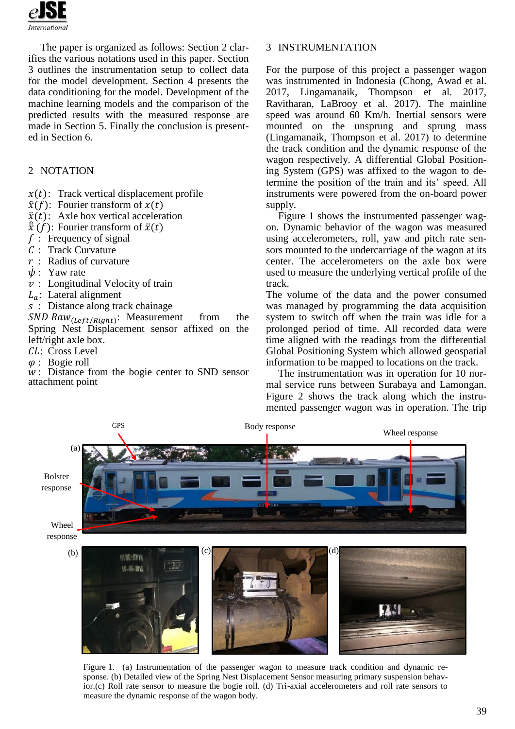

The paper is organized as follows: Section 2 clarifies the various notations used in this paper. Section 3 outlines the instrumentation setup to collect data for the model development. Section 4 presents the data conditioning for the model. Development of the machine learning models and the comparison of the predicted results with the measured response are made in Section 5. Finally the conclusion is presented in Section 6.

## 2 NOTATION

- $x(t)$ : Track vertical displacement profile
- $\hat{x}(f)$ : Fourier transform of  $x(t)$
- $\ddot{x}(t)$ : Axle box vertical acceleration
- $\hat{\tilde{x}}(f)$ : Fourier transform of  $\ddot{x}(t)$
- $f$ : Frequency of signal
- : Track Curvature
- $r$ : Radius of curvature
- $\dot{\psi}$ : Yaw rate
- $v:$  Longitudinal Velocity of train
- $L_a$ : Lateral alignment
- : Distance along track chainage

 $SND$   $Raw_{(Left/Right)}$ : Measurement from the Spring Nest Displacement sensor affixed on the left/right axle box.

- CL: Cross Level
- $\varphi$ : Bogie roll

 : Distance from the bogie center to SND sensor attachment point

### 3 INSTRUMENTATION

For the purpose of this project a passenger wagon was instrumented in Indonesia (Chong, Awad et al. 2017, Lingamanaik, Thompson et al. 2017, Ravitharan, LaBrooy et al. 2017). The mainline speed was around 60 Km/h. Inertial sensors were mounted on the unsprung and sprung mass (Lingamanaik, Thompson et al. 2017) to determine the track condition and the dynamic response of the wagon respectively. A differential Global Positioning System (GPS) was affixed to the wagon to determine the position of the train and its' speed. All instruments were powered from the on-board power supply.

Figure 1 shows the instrumented passenger wagon. Dynamic behavior of the wagon was measured using accelerometers, roll, yaw and pitch rate sensors mounted to the undercarriage of the wagon at its center. The accelerometers on the axle box were used to measure the underlying vertical profile of the track.

The volume of the data and the power consumed was managed by programming the data acquisition system to switch off when the train was idle for a prolonged period of time. All recorded data were time aligned with the readings from the differential Global Positioning System which allowed geospatial information to be mapped to locations on the track.

The instrumentation was in operation for 10 normal service runs between Surabaya and Lamongan. Figure 2 shows the track along which the instrumented passenger wagon was in operation. The trip



Figure 1. (a) Instrumentation of the passenger wagon to measure track condition and dynamic response. (b) Detailed view of the Spring Nest Displacement Sensor measuring primary suspension behavior.(c) Roll rate sensor to measure the bogie roll. (d) Tri-axial accelerometers and roll rate sensors to measure the dynamic response of the wagon body.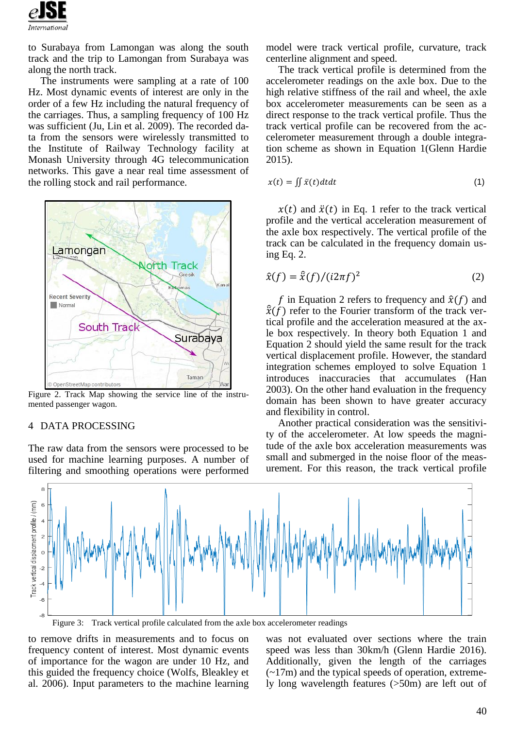

to Surabaya from Lamongan was along the south track and the trip to Lamongan from Surabaya was along the north track.

The instruments were sampling at a rate of 100 Hz. Most dynamic events of interest are only in the order of a few Hz including the natural frequency of the carriages. Thus, a sampling frequency of 100 Hz was sufficient (Ju, Lin et al. 2009). The recorded data from the sensors were wirelessly transmitted to the Institute of Railway Technology facility at Monash University through 4G telecommunication networks. This gave a near real time assessment of the rolling stock and rail performance.



Figure 2. Track Map showing the service line of the instrumented passenger wagon.

#### 4 DATA PROCESSING

The raw data from the sensors were processed to be used for machine learning purposes. A number of filtering and smoothing operations were performed model were track vertical profile, curvature, track centerline alignment and speed.

The track vertical profile is determined from the accelerometer readings on the axle box. Due to the high relative stiffness of the rail and wheel, the axle box accelerometer measurements can be seen as a direct response to the track vertical profile. Thus the track vertical profile can be recovered from the accelerometer measurement through a double integration scheme as shown in Equation 1(Glenn Hardie 2015).

$$
x(t) = \iint \ddot{x}(t)dt dt
$$
 (1)

 $x(t)$  and  $\ddot{x}(t)$  in Eq. 1 refer to the track vertical profile and the vertical acceleration measurement of the axle box respectively. The vertical profile of the track can be calculated in the frequency domain using Eq. 2.

$$
\hat{x}(f) = \hat{\tilde{x}}(f)/(i2\pi f)^2
$$
 (2)

f in Equation 2 refers to frequency and  $\hat{x}(f)$  and  $\hat{\ddot{x}}(f)$  refer to the Fourier transform of the track vertical profile and the acceleration measured at the axle box respectively. In theory both Equation 1 and Equation 2 should yield the same result for the track vertical displacement profile. However, the standard integration schemes employed to solve Equation 1 introduces inaccuracies that accumulates (Han 2003). On the other hand evaluation in the frequency domain has been shown to have greater accuracy and flexibility in control.

Another practical consideration was the sensitivity of the accelerometer. At low speeds the magnitude of the axle box acceleration measurements was small and submerged in the noise floor of the measurement. For this reason, the track vertical profile



Figure 3: Track vertical profile calculated from the axle box accelerometer readings

to remove drifts in measurements and to focus on frequency content of interest. Most dynamic events of importance for the wagon are under 10 Hz, and this guided the frequency choice (Wolfs, Bleakley et al. 2006). Input parameters to the machine learning

was not evaluated over sections where the train speed was less than 30km/h (Glenn Hardie 2016). Additionally, given the length of the carriages  $(-17m)$  and the typical speeds of operation, extremely long wavelength features (>50m) are left out of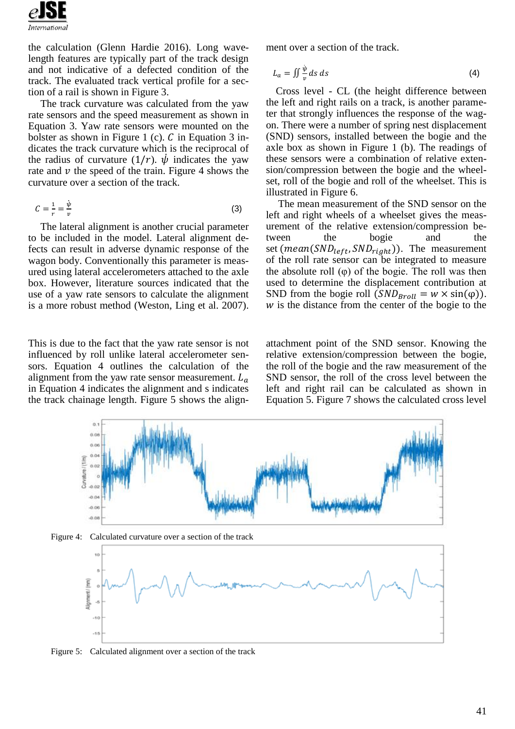

the calculation (Glenn Hardie 2016). Long wavelength features are typically part of the track design and not indicative of a defected condition of the track. The evaluated track vertical profile for a section of a rail is shown in Figure 3.

The track curvature was calculated from the yaw rate sensors and the speed measurement as shown in Equation 3. Yaw rate sensors were mounted on the bolster as shown in Figure 1 (c).  $C$  in Equation 3 indicates the track curvature which is the reciprocal of the radius of curvature  $(1/r)$ .  $\dot{\psi}$  indicates the yaw rate and  $\nu$  the speed of the train. Figure 4 shows the curvature over a section of the track.

$$
C = \frac{1}{r} = \frac{\dot{\psi}}{v} \tag{3}
$$

The lateral alignment is another crucial parameter to be included in the model. Lateral alignment defects can result in adverse dynamic response of the wagon body. Conventionally this parameter is measured using lateral accelerometers attached to the axle box. However, literature sources indicated that the use of a yaw rate sensors to calculate the alignment is a more robust method (Weston, Ling et al. 2007).

This is due to the fact that the yaw rate sensor is not influenced by roll unlike lateral accelerometer sensors. Equation 4 outlines the calculation of the alignment from the yaw rate sensor measurement.  $L_a$ in Equation 4 indicates the alignment and s indicates the track chainage length. Figure 5 shows the alignment over a section of the track.

$$
L_a = \iint \frac{\dot{\psi}}{v} \, ds \, ds \tag{4}
$$

Cross level - CL (the height difference between the left and right rails on a track, is another parameter that strongly influences the response of the wagon. There were a number of spring nest displacement (SND) sensors, installed between the bogie and the axle box as shown in Figure 1 (b). The readings of these sensors were a combination of relative extension/compression between the bogie and the wheelset, roll of the bogie and roll of the wheelset. This is illustrated in Figure 6.

The mean measurement of the SND sensor on the left and right wheels of a wheelset gives the measurement of the relative extension/compression between the bogie and the set ( $mean(SND_{left},SND_{right})$ ). The measurement of the roll rate sensor can be integrated to measure the absolute roll (φ) of the bogie. The roll was then used to determine the displacement contribution at SND from the bogie roll  $(SND_{Broll} = w \times \sin(\varphi))$ .  $w$  is the distance from the center of the bogie to the

attachment point of the SND sensor. Knowing the relative extension/compression between the bogie, the roll of the bogie and the raw measurement of the SND sensor, the roll of the cross level between the left and right rail can be calculated as shown in Equation 5. Figure 7 shows the calculated cross level







Figure 5: Calculated alignment over a section of the track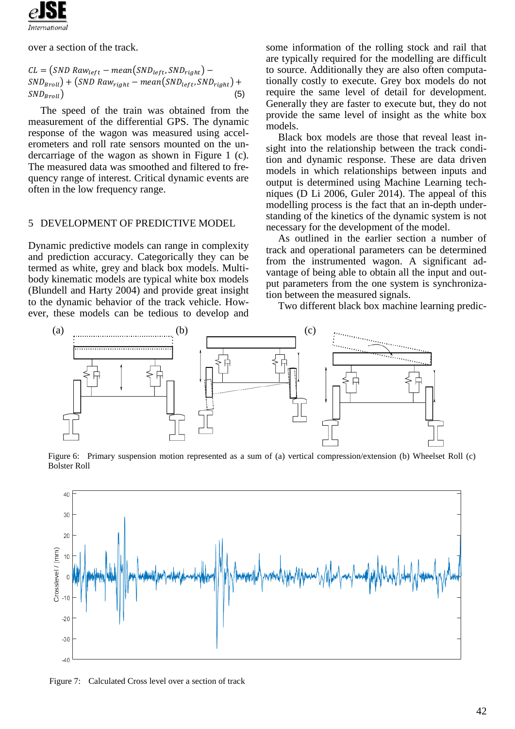

over a section of the track.

 $CL = (SND Raw_{left} - mean(SND_{left}, SNP_{right}) SND_{Broll}$  + (SND Raw<sub>right</sub> – mean(SND<sub>left</sub>, SND<sub>right</sub>) +  $SND_{Broll}$  (5)

The speed of the train was obtained from the measurement of the differential GPS. The dynamic response of the wagon was measured using accelerometers and roll rate sensors mounted on the undercarriage of the wagon as shown in Figure 1 (c). The measured data was smoothed and filtered to frequency range of interest. Critical dynamic events are often in the low frequency range.

#### 5 DEVELOPMENT OF PREDICTIVE MODEL

Dynamic predictive models can range in complexity and prediction accuracy. Categorically they can be termed as white, grey and black box models. Multibody kinematic models are typical white box models (Blundell and Harty 2004) and provide great insight to the dynamic behavior of the track vehicle. However, these models can be tedious to develop and

some information of the rolling stock and rail that are typically required for the modelling are difficult to source. Additionally they are also often computationally costly to execute. Grey box models do not require the same level of detail for development. Generally they are faster to execute but, they do not provide the same level of insight as the white box models.

Black box models are those that reveal least insight into the relationship between the track condition and dynamic response. These are data driven models in which relationships between inputs and output is determined using Machine Learning techniques (D Li 2006, Guler 2014). The appeal of this modelling process is the fact that an in-depth understanding of the kinetics of the dynamic system is not necessary for the development of the model.

As outlined in the earlier section a number of track and operational parameters can be determined from the instrumented wagon. A significant advantage of being able to obtain all the input and output parameters from the one system is synchronization between the measured signals.

Two different black box machine learning predic-



Figure 6: Primary suspension motion represented as a sum of (a) vertical compression/extension (b) Wheelset Roll (c) Bolster Roll



Figure 7: Calculated Cross level over a section of track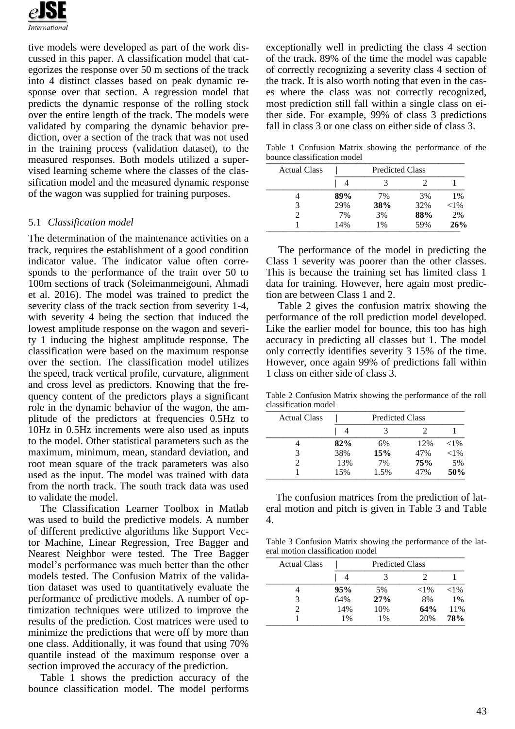

tive models were developed as part of the work discussed in this paper. A classification model that categorizes the response over 50 m sections of the track into 4 distinct classes based on peak dynamic response over that section. A regression model that predicts the dynamic response of the rolling stock over the entire length of the track. The models were validated by comparing the dynamic behavior prediction, over a section of the track that was not used in the training process (validation dataset), to the measured responses. Both models utilized a supervised learning scheme where the classes of the classification model and the measured dynamic response of the wagon was supplied for training purposes.

#### 5.1 *Classification model*

The determination of the maintenance activities on a track, requires the establishment of a good condition indicator value. The indicator value often corresponds to the performance of the train over 50 to 100m sections of track (Soleimanmeigouni, Ahmadi et al. 2016). The model was trained to predict the severity class of the track section from severity 1-4, with severity 4 being the section that induced the lowest amplitude response on the wagon and severity 1 inducing the highest amplitude response. The classification were based on the maximum response over the section. The classification model utilizes the speed, track vertical profile, curvature, alignment and cross level as predictors. Knowing that the frequency content of the predictors plays a significant role in the dynamic behavior of the wagon, the amplitude of the predictors at frequencies 0.5Hz to 10Hz in 0.5Hz increments were also used as inputs to the model. Other statistical parameters such as the maximum, minimum, mean, standard deviation, and root mean square of the track parameters was also used as the input. The model was trained with data from the north track. The south track data was used to validate the model.

The Classification Learner Toolbox in Matlab was used to build the predictive models. A number of different predictive algorithms like Support Vector Machine, Linear Regression, Tree Bagger and Nearest Neighbor were tested. The Tree Bagger model's performance was much better than the other models tested. The Confusion Matrix of the validation dataset was used to quantitatively evaluate the performance of predictive models. A number of optimization techniques were utilized to improve the results of the prediction. Cost matrices were used to minimize the predictions that were off by more than one class. Additionally, it was found that using 70% quantile instead of the maximum response over a section improved the accuracy of the prediction.

Table 1 shows the prediction accuracy of the bounce classification model. The model performs exceptionally well in predicting the class 4 section of the track. 89% of the time the model was capable of correctly recognizing a severity class 4 section of the track. It is also worth noting that even in the cases where the class was not correctly recognized, most prediction still fall within a single class on either side. For example, 99% of class 3 predictions fall in class 3 or one class on either side of class 3.

Table 1 Confusion Matrix showing the performance of the bounce classification model

| <b>Actual Class</b> | <b>Predicted Class</b> |       |     |          |
|---------------------|------------------------|-------|-----|----------|
|                     |                        |       |     |          |
|                     | 89%                    | 7%    | 3%  | $1\%$    |
|                     | 29%                    | 38%   | 32% | ${<}1\%$ |
|                     | 7%                     | 3%    | 88% | 2%       |
|                     | 14%                    | $1\%$ | 59% | 26%      |

The performance of the model in predicting the Class 1 severity was poorer than the other classes. This is because the training set has limited class 1 data for training. However, here again most prediction are between Class 1 and 2.

Table 2 gives the confusion matrix showing the performance of the roll prediction model developed. Like the earlier model for bounce, this too has high accuracy in predicting all classes but 1. The model only correctly identifies severity 3 15% of the time. However, once again 99% of predictions fall within 1 class on either side of class 3.

Table 2 Confusion Matrix showing the performance of the roll classification model

| <b>Actual Class</b> | <b>Predicted Class</b> |      |     |          |
|---------------------|------------------------|------|-----|----------|
|                     |                        |      |     |          |
|                     | 82%                    | 6%   | 12% | ${<}1\%$ |
|                     | 38%                    | 15%  | 47% | ${<}1\%$ |
|                     | 13%                    | 7%   | 75% | 5%       |
|                     | 15%                    | 1.5% | 47% | 50%      |

The confusion matrices from the prediction of lateral motion and pitch is given in Table 3 and Table 4.

Table 3 Confusion Matrix showing the performance of the lateral motion classification model

| <b>Actual Class</b> | <b>Predicted Class</b> |       |          |          |
|---------------------|------------------------|-------|----------|----------|
|                     |                        |       |          |          |
|                     | 95%                    | 5%    | ${<}1\%$ | ${<}1\%$ |
|                     | 64%                    | 27%   | 8%       | $1\%$    |
|                     | 14%                    | 10%   | 64%      | 11%      |
|                     | $1\%$                  | $1\%$ | 20%      | 78%      |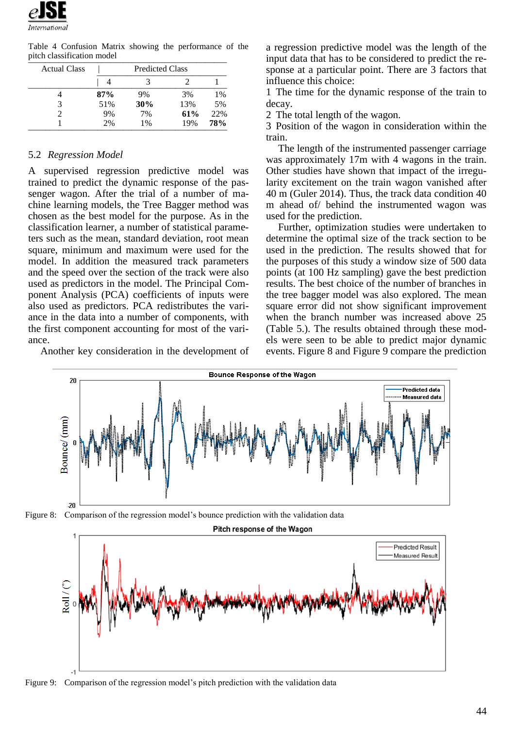

Table 4 Confusion Matrix showing the performance of the pitch classification model

| <b>Actual Class</b> | <b>Predicted Class</b> |       |     |            |
|---------------------|------------------------|-------|-----|------------|
|                     |                        |       |     |            |
|                     | 87%                    | 9%    | 3%  | $1\%$      |
|                     | 51%                    | 30%   | 13% | 5%         |
|                     | 9%                     | 7%    | 61% | 22%        |
|                     | 2%                     | $1\%$ | 19% | <b>78%</b> |

#### 5.2 *Regression Model*

A supervised regression predictive model was trained to predict the dynamic response of the passenger wagon. After the trial of a number of machine learning models, the Tree Bagger method was chosen as the best model for the purpose. As in the classification learner, a number of statistical parameters such as the mean, standard deviation, root mean square, minimum and maximum were used for the model. In addition the measured track parameters and the speed over the section of the track were also used as predictors in the model. The Principal Component Analysis (PCA) coefficients of inputs were also used as predictors. PCA redistributes the variance in the data into a number of components, with the first component accounting for most of the variance.

Another key consideration in the development of

a regression predictive model was the length of the input data that has to be considered to predict the response at a particular point. There are 3 factors that influence this choice:

1 The time for the dynamic response of the train to decay.

2 The total length of the wagon.

3 Position of the wagon in consideration within the train.

The length of the instrumented passenger carriage was approximately 17m with 4 wagons in the train. Other studies have shown that impact of the irregularity excitement on the train wagon vanished after 40 m (Guler 2014). Thus, the track data condition 40 m ahead of/ behind the instrumented wagon was used for the prediction.

Further, optimization studies were undertaken to determine the optimal size of the track section to be used in the prediction. The results showed that for the purposes of this study a window size of 500 data points (at 100 Hz sampling) gave the best prediction results. The best choice of the number of branches in the tree bagger model was also explored. The mean square error did not show significant improvement when the branch number was increased above 25 (Table 5.). The results obtained through these models were seen to be able to predict major dynamic events. Figure 8 and Figure 9 compare the prediction







Figure 9: Comparison of the regression model's pitch prediction with the validation data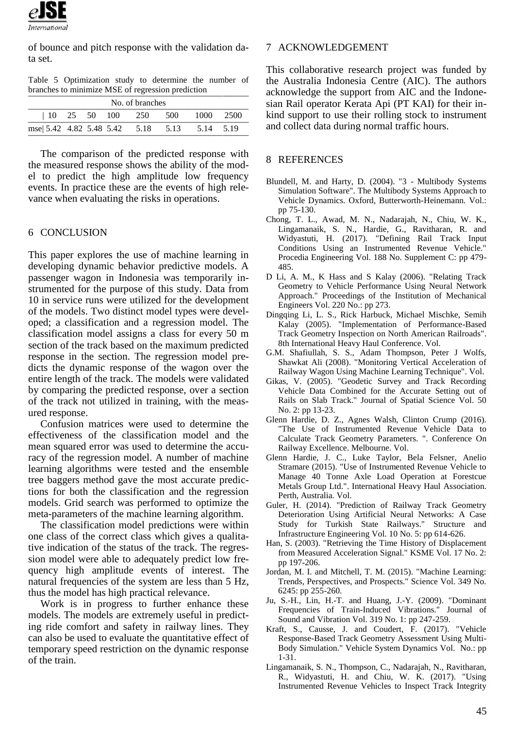

of bounce and pitch response with the validation data set.

Table 5 Optimization study to determine the number of branches to minimize MSE of regression prediction

| No. of branches                             |  |  |  |                      |  |               |  |
|---------------------------------------------|--|--|--|----------------------|--|---------------|--|
|                                             |  |  |  | 10 25 50 100 250 500 |  | - 1000 - 2500 |  |
| mse 5.42 4.82 5.48 5.42 5.18 5.13 5.14 5.19 |  |  |  |                      |  |               |  |

The comparison of the predicted response with the measured response shows the ability of the model to predict the high amplitude low frequency events. In practice these are the events of high relevance when evaluating the risks in operations.

#### 6 CONCLUSION

This paper explores the use of machine learning in developing dynamic behavior predictive models. A passenger wagon in Indonesia was temporarily instrumented for the purpose of this study. Data from 10 in service runs were utilized for the development of the models. Two distinct model types were developed; a classification and a regression model. The classification model assigns a class for every 50 m section of the track based on the maximum predicted response in the section. The regression model predicts the dynamic response of the wagon over the entire length of the track. The models were validated by comparing the predicted response, over a section of the track not utilized in training, with the measured response.

Confusion matrices were used to determine the effectiveness of the classification model and the mean squared error was used to determine the accuracy of the regression model. A number of machine learning algorithms were tested and the ensemble tree baggers method gave the most accurate predictions for both the classification and the regression models. Grid search was performed to optimize the meta-parameters of the machine learning algorithm.

The classification model predictions were within one class of the correct class which gives a qualitative indication of the status of the track. The regression model were able to adequately predict low frequency high amplitude events of interest. The natural frequencies of the system are less than 5 Hz, thus the model has high practical relevance.

Work is in progress to further enhance these models. The models are extremely useful in predicting ride comfort and safety in railway lines. They can also be used to evaluate the quantitative effect of temporary speed restriction on the dynamic response of the train.

#### 7 ACKNOWLEDGEMENT

This collaborative research project was funded by the Australia Indonesia Centre (AIC). The authors acknowledge the support from AIC and the Indonesian Rail operator Kerata Api (PT KAI) for their inkind support to use their rolling stock to instrument and collect data during normal traffic hours.

#### 8 REFERENCES

- Blundell, M. and Harty, D. (2004). "3 Multibody Systems Simulation Software". The Multibody Systems Approach to Vehicle Dynamics. Oxford, Butterworth-Heinemann. Vol.: pp 75-130.
- Chong, T. L., Awad, M. N., Nadarajah, N., Chiu, W. K., Lingamanaik, S. N., Hardie, G., Ravitharan, R. and Widyastuti, H. (2017). "Defining Rail Track Input Conditions Using an Instrumented Revenue Vehicle." Procedia Engineering Vol. 188 No. Supplement C: pp 479- 485.
- D Li, A. M., K Hass and S Kalay (2006). "Relating Track Geometry to Vehicle Performance Using Neural Network Approach." Proceedings of the Institution of Mechanical Engineers Vol. 220 No.: pp 273.
- Dingqing Li, L. S., Rick Harbuck, Michael Mischke, Semih Kalay (2005). "Implementation of Performance-Based Track Geometry Inspection on North American Railroads". 8th International Heavy Haul Conference. Vol.
- G.M. Shafiullah, S. S., Adam Thompson, Peter J Wolfs, Shawkat Ali (2008). "Monitoring Vertical Acceleration of Railway Wagon Using Machine Learning Technique". Vol.
- Gikas, V. (2005). "Geodetic Survey and Track Recording Vehicle Data Combined for the Accurate Setting out of Rails on Slab Track." Journal of Spatial Science Vol. 50 No. 2: pp 13-23.
- Glenn Hardie, D. Z., Agnes Walsh, Clinton Crump (2016). "The Use of Instrumented Revenue Vehicle Data to Calculate Track Geometry Parameters. ". Conference On Railway Excellence. Melbourne. Vol.
- Glenn Hardie, J. C., Luke Taylor, Bela Felsner, Anelio Stramare (2015). "Use of Instrumented Revenue Vehicle to Manage 40 Tonne Axle Load Operation at Forestcue Metals Group Ltd.". International Heavy Haul Association. Perth, Australia. Vol.
- Guler, H. (2014). "Prediction of Railway Track Geometry Deterioration Using Artificial Neural Networks: A Case Study for Turkish State Railways." Structure and Infrastructure Engineering Vol. 10 No. 5: pp 614-626.
- Han, S. (2003). "Retrieving the Time History of Displacement from Measured Acceleration Signal." KSME Vol. 17 No. 2: pp 197-206.
- Jordan, M. I. and Mitchell, T. M. (2015). "Machine Learning: Trends, Perspectives, and Prospects." Science Vol. 349 No. 6245: pp 255-260.
- Ju, S.-H., Lin, H.-T. and Huang, J.-Y. (2009). "Dominant Frequencies of Train-Induced Vibrations." Journal of Sound and Vibration Vol. 319 No. 1: pp 247-259.
- Kraft, S., Causse, J. and Coudert, F. (2017). "Vehicle Response-Based Track Geometry Assessment Using Multi-Body Simulation." Vehicle System Dynamics Vol. No.: pp 1-31.
- Lingamanaik, S. N., Thompson, C., Nadarajah, N., Ravitharan, R., Widyastuti, H. and Chiu, W. K. (2017). "Using Instrumented Revenue Vehicles to Inspect Track Integrity